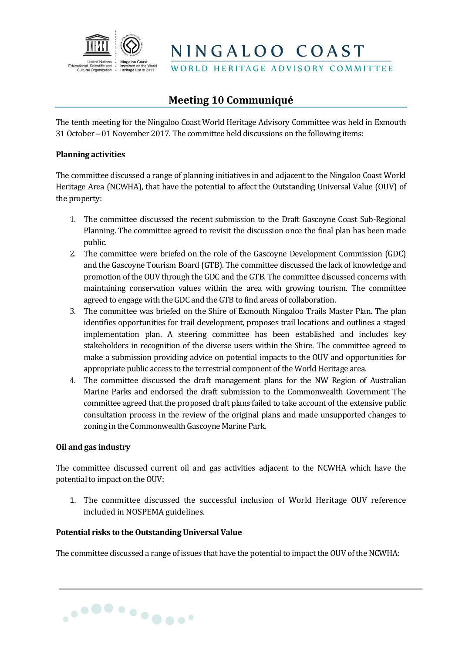

WORLD HERITAGE ADVISORY COMMITTEE

### **Meeting 10 Communiqué**

The tenth meeting for the Ningaloo Coast World Heritage Advisory Committee was held in Exmouth 31 October – 01 November 2017. The committee held discussions on the following items:

#### **Planning activities**

The committee discussed a range of planning initiatives in and adjacent to the Ningaloo Coast World Heritage Area (NCWHA), that have the potential to affect the Outstanding Universal Value (OUV) of the property:

- 1. The committee discussed the recent submission to the Draft Gascoyne Coast Sub-Regional Planning. The committee agreed to revisit the discussion once the final plan has been made public.
- 2. The committee were briefed on the role of the Gascoyne Development Commission (GDC) and the Gascoyne Tourism Board (GTB). The committee discussed the lack of knowledge and promotion of the OUV through the GDC and the GTB. The committee discussed concerns with maintaining conservation values within the area with growing tourism. The committee agreed to engage with the GDC and the GTB to find areas of collaboration.
- 3. The committee was briefed on the Shire of Exmouth Ningaloo Trails Master Plan. The plan identifies opportunities for trail development, proposes trail locations and outlines a staged implementation plan. A steering committee has been established and includes key stakeholders in recognition of the diverse users within the Shire. The committee agreed to make a submission providing advice on potential impacts to the OUV and opportunities for appropriate public access to the terrestrial component of the World Heritage area.
- 4. The committee discussed the draft management plans for the NW Region of Australian Marine Parks and endorsed the draft submission to the Commonwealth Government The committee agreed that the proposed draft plans failed to take account of the extensive public consultation process in the review of the original plans and made unsupported changes to zoning in the Commonwealth Gascoyne Marine Park.

#### **Oil and gas industry**

The committee discussed current oil and gas activities adjacent to the NCWHA which have the potential to impact on the OUV:

1. The committee discussed the successful inclusion of World Heritage OUV reference included in NOSPEMA guidelines.

#### **Potential risks to the Outstanding Universal Value**

............

The committee discussed a range of issues that have the potential to impact the OUV of the NCWHA: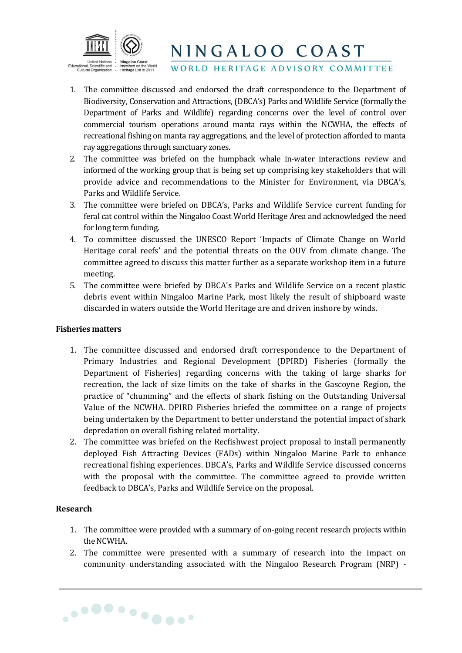

WORLD HERITAGE ADVISORY COMMITTEE

- 1. The committee discussed and endorsed the draft correspondence to the Department of Biodiversity, Conservation and Attractions, (DBCA's) Parks and Wildlife Service (formally the Department of Parks and Wildlife) regarding concerns over the level of control over commercial tourism operations around manta rays within the NCWHA, the effects of recreational fishing on manta ray aggregations, and the level of protection afforded to manta ray aggregations through sanctuary zones.
- 2. The committee was briefed on the humpback whale in-water interactions review and informed of the working group that is being set up comprising key stakeholders that will provide advice and recommendations to the Minister for Environment, via DBCA's, Parks and Wildlife Service.
- 3. The committee were briefed on DBCA's, Parks and Wildlife Service current funding for feral cat control within the Ningaloo Coast World Heritage Area and acknowledged the need for long term funding.
- 4. To committee discussed the UNESCO Report 'Impacts of Climate Change on World Heritage coral reefs' and the potential threats on the OUV from climate change. The committee agreed to discuss this matter further as a separate workshop item in a future meeting.
- 5. The committee were briefed by DBCA's Parks and Wildlife Service on a recent plastic debris event within Ningaloo Marine Park, most likely the result of shipboard waste discarded in waters outside the World Heritage are and driven inshore by winds.

#### **Fisheries matters**

- 1. The committee discussed and endorsed draft correspondence to the Department of Primary Industries and Regional Development (DPIRD) Fisheries (formally the Department of Fisheries) regarding concerns with the taking of large sharks for recreation, the lack of size limits on the take of sharks in the Gascoyne Region, the practice of "chumming" and the effects of shark fishing on the Outstanding Universal Value of the NCWHA. DPIRD Fisheries briefed the committee on a range of projects being undertaken by the Department to better understand the potential impact of shark depredation on overall fishing related mortality.
- 2. The committee was briefed on the Recfishwest project proposal to install permanently deployed Fish Attracting Devices (FADs) within Ningaloo Marine Park to enhance recreational fishing experiences. DBCA's, Parks and Wildlife Service discussed concerns with the proposal with the committee. The committee agreed to provide written feedback to DBCA's, Parks and Wildlife Service on the proposal.

#### **Research**

............

- 1. The committee were provided with a summary of on-going recent research projects within the NCWHA.
- 2. The committee were presented with a summary of research into the impact on community understanding associated with the Ningaloo Research Program (NRP) -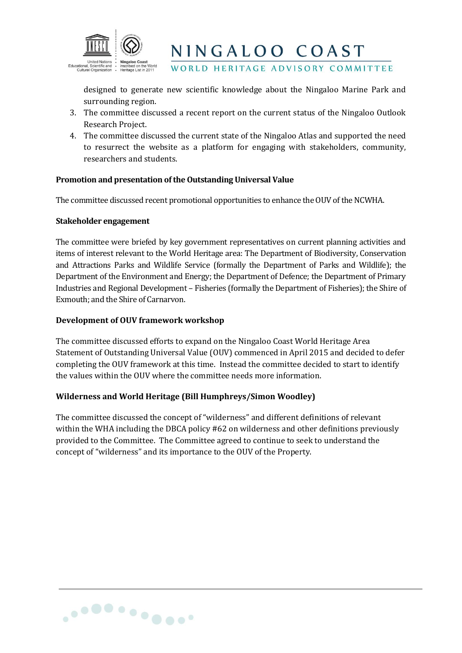

WORLD HERITAGE ADVISORY COMMITTEE

designed to generate new scientific knowledge about the Ningaloo Marine Park and surrounding region.

- 3. The committee discussed a recent report on the current status of the Ningaloo Outlook Research Project.
- 4. The committee discussed the current state of the Ningaloo Atlas and supported the need to resurrect the website as a platform for engaging with stakeholders, community, researchers and students.

#### **Promotion and presentation of the Outstanding Universal Value**

The committee discussed recent promotional opportunities to enhance the OUV of the NCWHA.

#### **Stakeholder engagement**

The committee were briefed by key government representatives on current planning activities and items of interest relevant to the World Heritage area: The Department of Biodiversity, Conservation and Attractions Parks and Wildlife Service (formally the Department of Parks and Wildlife); the Department of the Environment and Energy; the Department of Defence; the Department of Primary Industries and Regional Development – Fisheries (formally the Department of Fisheries); the Shire of Exmouth; and the Shire of Carnarvon.

#### **Development of OUV framework workshop**

The committee discussed efforts to expand on the Ningaloo Coast World Heritage Area Statement of Outstanding Universal Value (OUV) commenced in April 2015 and decided to defer completing the OUV framework at this time. Instead the committee decided to start to identify the values within the OUV where the committee needs more information.

#### **Wilderness and World Heritage (Bill Humphreys/Simon Woodley)**

The committee discussed the concept of "wilderness" and different definitions of relevant within the WHA including the DBCA policy #62 on wilderness and other definitions previously provided to the Committee. The Committee agreed to continue to seek to understand the concept of "wilderness" and its importance to the OUV of the Property.

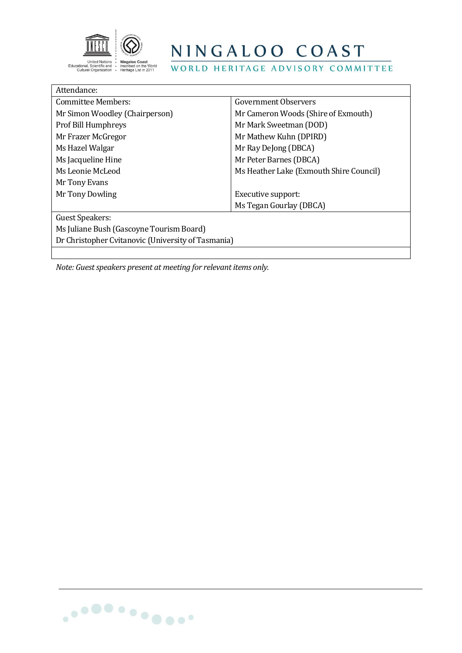

WORLD HERITAGE ADVISORY COMMITTEE

| Attendance:                                        |                                         |  |
|----------------------------------------------------|-----------------------------------------|--|
| Committee Members:                                 | Government Observers                    |  |
| Mr Simon Woodley (Chairperson)                     | Mr Cameron Woods (Shire of Exmouth)     |  |
| <b>Prof Bill Humphreys</b>                         | Mr Mark Sweetman (DOD)                  |  |
| Mr Frazer McGregor                                 | Mr Mathew Kuhn (DPIRD)                  |  |
| Ms Hazel Walgar                                    | Mr Ray DeJong (DBCA)                    |  |
| Ms Jacqueline Hine                                 | Mr Peter Barnes (DBCA)                  |  |
| Ms Leonie McLeod                                   | Ms Heather Lake (Exmouth Shire Council) |  |
| Mr Tony Evans                                      |                                         |  |
| Mr Tony Dowling                                    | Executive support:                      |  |
|                                                    | Ms Tegan Gourlay (DBCA)                 |  |
| Guest Speakers:                                    |                                         |  |
| Ms Juliane Bush (Gascoyne Tourism Board)           |                                         |  |
| Dr Christopher Cvitanovic (University of Tasmania) |                                         |  |
|                                                    |                                         |  |

*Note: Guest speakers present at meeting for relevant items only.*